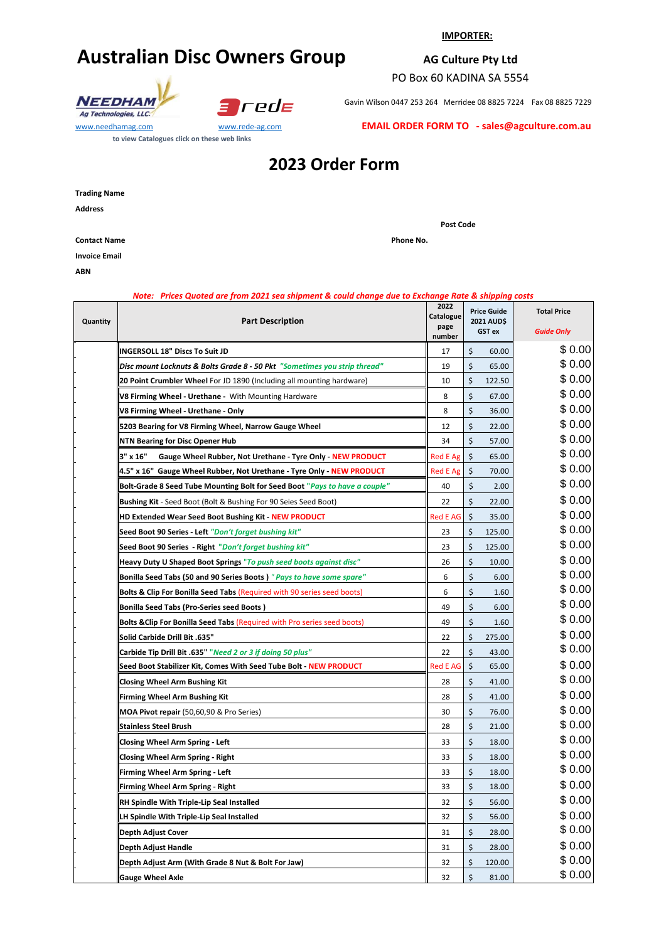# **Australian Disc Owners Group**

#### **IMPORTER:**

### **AG Culture Pty Ltd**

PO Box 60 KADINA SA 5554

**Post Code**

NEEDHAM Ag Technologies, LLC.



www.needhamag.com www.rede-ag.com **to view Catalogues click on these web links** 

| Gavin Wilson 0447 253 264 Merridee 08 8825 7224   Fax 08 8825 7229 |  |
|--------------------------------------------------------------------|--|
|                                                                    |  |

**EMAIL ORDER FORM TO - sales@agculture.com.au**

## **2023 Order Form**

**Address**

**Contact Name Phone No. Phone No. Phone No.** 

**Invoice Email**

**ABN**

#### *Note: Prices Quoted are from 2021 sea shipment & could change due to Exchange Rate & shipping costs*

| Quantity | <b>Part Description</b>                                                    |                 | <b>Price Guide</b><br>2021 AUD\$<br>GST ex |        | <b>Total Price</b><br><b>Guide Only</b> |
|----------|----------------------------------------------------------------------------|-----------------|--------------------------------------------|--------|-----------------------------------------|
|          | <b>INGERSOLL 18" Discs To Suit JD</b>                                      | 17              | \$                                         | 60.00  | \$ 0.00                                 |
|          | Disc mount Locknuts & Bolts Grade 8 - 50 Pkt "Sometimes you strip thread"  | 19              | \$                                         | 65.00  | \$ 0.00                                 |
|          | 20 Point Crumbler Wheel For JD 1890 (Including all mounting hardware)      | 10              | \$                                         | 122.50 | \$0.00                                  |
|          | V8 Firming Wheel - Urethane - With Mounting Hardware                       | 8               | $\zeta$                                    | 67.00  | \$ 0.00                                 |
|          | V8 Firming Wheel - Urethane - Only                                         | 8               | \$                                         | 36.00  | \$ 0.00                                 |
|          | 5203 Bearing for V8 Firming Wheel, Narrow Gauge Wheel                      | 12              | $\zeta$                                    | 22.00  | \$ 0.00                                 |
|          | <b>NTN Bearing for Disc Opener Hub</b>                                     | 34              | $\dot{\mathsf{S}}$                         | 57.00  | \$0.00                                  |
|          | 3" x 16"<br>Gauge Wheel Rubber, Not Urethane - Tyre Only - NEW PRODUCT     | <b>Red E Ag</b> | $\zeta$                                    | 65.00  | \$0.00                                  |
|          | 4.5" x 16" Gauge Wheel Rubber, Not Urethane - Tyre Only - NEW PRODUCT      | <b>Red E Ag</b> | \$                                         | 70.00  | \$0.00                                  |
|          | Bolt-Grade 8 Seed Tube Mounting Bolt for Seed Boot "Pays to have a couple" | 40              | \$                                         | 2.00   | \$0.00                                  |
|          | <b>Bushing Kit</b> - Seed Boot (Bolt & Bushing For 90 Seies Seed Boot)     | 22              | \$                                         | 22.00  | \$0.00                                  |
|          | HD Extended Wear Seed Boot Bushing Kit - NEW PRODUCT                       | <b>Red E AG</b> | $\zeta$                                    | 35.00  | \$0.00                                  |
|          | Seed Boot 90 Series - Left "Don't forget bushing kit"                      | 23              | \$                                         | 125.00 | \$0.00                                  |
|          | Seed Boot 90 Series - Right "Don't forget bushing kit"                     | 23              | \$                                         | 125.00 | \$ 0.00                                 |
|          | Heavy Duty U Shaped Boot Springs "To push seed boots against disc"         | 26              | \$                                         | 10.00  | \$0.00                                  |
|          | Bonilla Seed Tabs (50 and 90 Series Boots) "Pays to have some spare"       | 6               | \$                                         | 6.00   | \$0.00                                  |
|          | Bolts & Clip For Bonilla Seed Tabs (Required with 90 series seed boots)    | 6               | \$                                         | 1.60   | \$ 0.00                                 |
|          | <b>Bonilla Seed Tabs (Pro-Series seed Boots)</b>                           | 49              | \$                                         | 6.00   | \$0.00                                  |
|          | Bolts & Clip For Bonilla Seed Tabs (Required with Pro series seed boots)   | 49              | \$                                         | 1.60   | \$0.00                                  |
|          | Solid Carbide Drill Bit .635"                                              | 22              | \$                                         | 275.00 | \$0.00                                  |
|          | Carbide Tip Drill Bit .635" "Need 2 or 3 if doing 50 plus"                 | 22              | $\zeta$                                    | 43.00  | \$0.00                                  |
|          | Seed Boot Stabilizer Kit, Comes With Seed Tube Bolt - NEW PRODUCT          | <b>Red E AG</b> | $\dot{\mathsf{S}}$                         | 65.00  | \$0.00                                  |
|          | <b>Closing Wheel Arm Bushing Kit</b>                                       | 28              | \$                                         | 41.00  | \$0.00                                  |
|          | <b>Firming Wheel Arm Bushing Kit</b>                                       | 28              | $\dot{\mathsf{S}}$                         | 41.00  | \$ 0.00                                 |
|          | MOA Pivot repair (50,60,90 & Pro Series)                                   | 30              | \$                                         | 76.00  | \$0.00                                  |
|          | <b>Stainless Steel Brush</b>                                               | 28              | \$                                         | 21.00  | \$0.00                                  |
|          | <b>Closing Wheel Arm Spring - Left</b>                                     | 33              | \$                                         | 18.00  | \$0.00                                  |
|          | <b>Closing Wheel Arm Spring - Right</b>                                    | 33              | \$                                         | 18.00  | \$0.00                                  |
|          | Firming Wheel Arm Spring - Left                                            | 33              | \$                                         | 18.00  | \$ 0.00                                 |
|          | Firming Wheel Arm Spring - Right                                           | 33              | $\dot{\mathsf{S}}$                         | 18.00  | \$ 0.00                                 |
|          | RH Spindle With Triple-Lip Seal Installed                                  | 32              | $\zeta$                                    | 56.00  | \$ 0.00                                 |
|          | LH Spindle With Triple-Lip Seal Installed                                  | 32              | $\zeta$                                    | 56.00  | \$ 0.00                                 |
|          | Depth Adjust Cover                                                         | 31              | $\zeta$                                    | 28.00  | \$0.00                                  |
|          | Depth Adjust Handle                                                        | 31              | $\zeta$                                    | 28.00  | \$0.00                                  |
|          | Depth Adjust Arm (With Grade 8 Nut & Bolt For Jaw)                         | 32              | \$                                         | 120.00 | \$0.00                                  |
|          | <b>Gauge Wheel Axle</b>                                                    | 32              | $\zeta$                                    | 81.00  | \$0.00                                  |